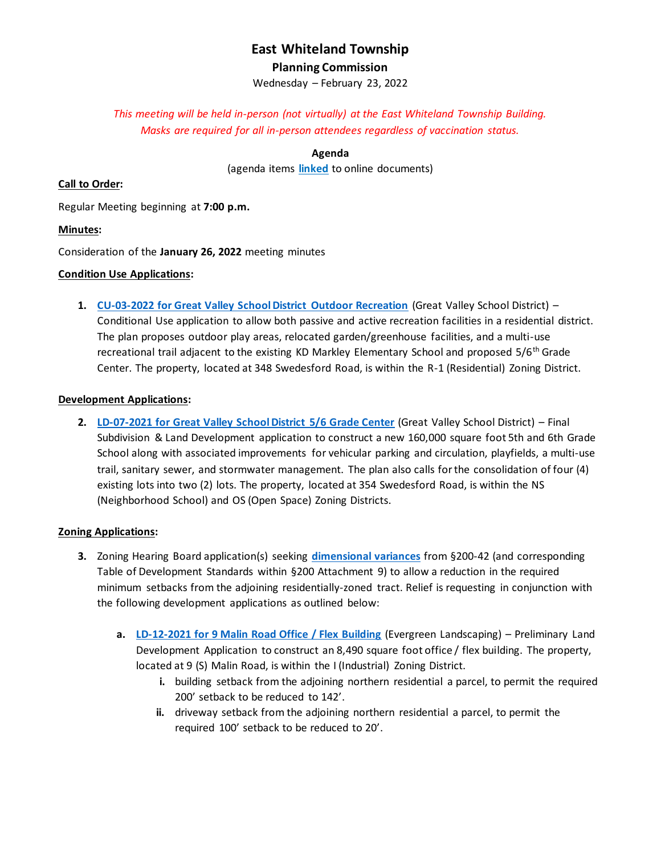# **East Whiteland Township Planning Commission**

Wednesday – February 23, 2022

*This meeting will be held in-person (not virtually) at the East Whiteland Township Building. Masks are required for all in-person attendees regardless of vaccination status.*

**Agenda**

(agenda items **[linked](http://www.eastwhiteland.org/)** to online documents)

#### **Call to Order:**

Regular Meeting beginning at **7:00 p.m.**

#### **Minutes:**

Consideration of the **January 26, 2022** meeting minutes

### **Condition Use Applications:**

**1. [CU-03-2022 for Great Valley School District Outdoor Recreation](https://www.eastwhiteland.org/DocumentCenter/Index/315)** (Great Valley School District) – Conditional Use application to allow both passive and active recreation facilities in a residential district. The plan proposes outdoor play areas, relocated garden/greenhouse facilities, and a multi-use recreational trail adjacent to the existing KD Markley Elementary School and proposed 5/6<sup>th</sup> Grade Center. The property, located at 348 Swedesford Road, is within the R-1 (Residential) Zoning District.

### **Development Applications:**

**2. [LD-07-2021 for Great Valley School District 5/6 Grade Center](https://www.eastwhiteland.org/DocumentCenter/Index/297)** (Great Valley School District) – Final Subdivision & Land Development application to construct a new 160,000 square foot 5th and 6th Grade School along with associated improvements for vehicular parking and circulation, playfields, a multi-use trail, sanitary sewer, and stormwater management. The plan also calls for the consolidation of four (4) existing lots into two (2) lots. The property, located at 354 Swedesford Road, is within the NS (Neighborhood School) and OS (Open Space) Zoning Districts.

## **Zoning Applications:**

- **3.** Zoning Hearing Board application(s) seeking **[dimensional variances](https://www.eastwhiteland.org/DocumentCenter/Index/316)** from §200-42 (and corresponding Table of Development Standards within §200 Attachment 9) to allow a reduction in the required minimum setbacks from the adjoining residentially-zoned tract. Relief is requesting in conjunction with the following development applications as outlined below:
	- **a. [LD-12-2021 for 9 Malin Road Office / Flex Building](https://www.eastwhiteland.org/DocumentCenter/Index/318)** (Evergreen Landscaping) Preliminary Land Development Application to construct an 8,490 square foot office / flex building. The property, located at 9 (S) Malin Road, is within the I (Industrial) Zoning District.
		- **i.** building setback from the adjoining northern residential a parcel, to permit the required 200' setback to be reduced to 142'.
		- **ii.** driveway setback from the adjoining northern residential a parcel, to permit the required 100' setback to be reduced to 20'.